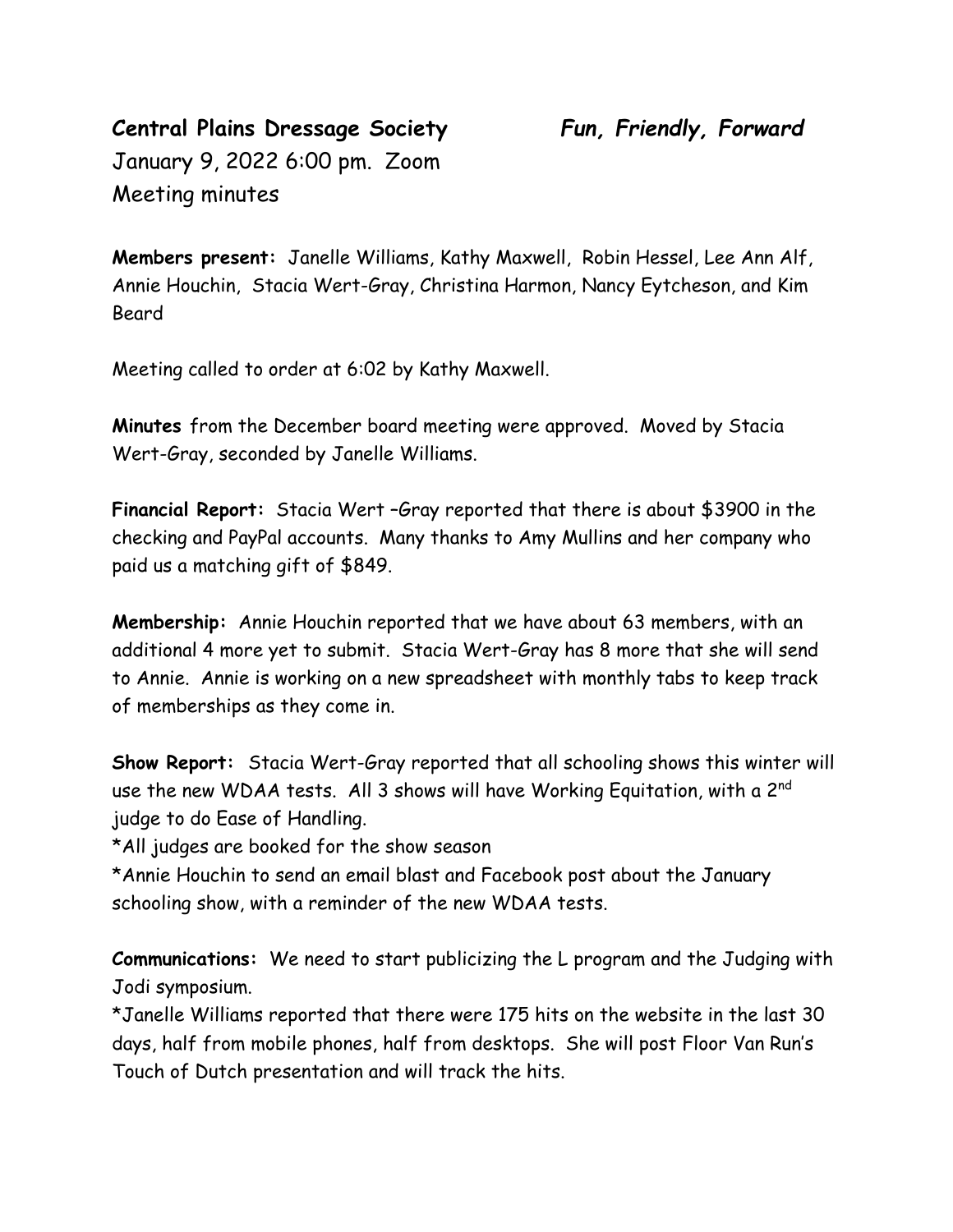## **Central Plains Dressage Society** *Fun, Friendly, Forward* January 9, 2022 6:00 pm. Zoom Meeting minutes

**Members present:** Janelle Williams, Kathy Maxwell, Robin Hessel, Lee Ann Alf, Annie Houchin, Stacia Wert-Gray, Christina Harmon, Nancy Eytcheson, and Kim Beard

Meeting called to order at 6:02 by Kathy Maxwell.

**Minutes** from the December board meeting were approved. Moved by Stacia Wert-Gray, seconded by Janelle Williams.

**Financial Report:** Stacia Wert –Gray reported that there is about \$3900 in the checking and PayPal accounts. Many thanks to Amy Mullins and her company who paid us a matching gift of \$849.

**Membership:** Annie Houchin reported that we have about 63 members, with an additional 4 more yet to submit. Stacia Wert-Gray has 8 more that she will send to Annie. Annie is working on a new spreadsheet with monthly tabs to keep track of memberships as they come in.

**Show Report:** Stacia Wert-Gray reported that all schooling shows this winter will use the new WDAA tests. All 3 shows will have Working Equitation, with a 2<sup>nd</sup> judge to do Ease of Handling.

\*All judges are booked for the show season

\*Annie Houchin to send an email blast and Facebook post about the January schooling show, with a reminder of the new WDAA tests.

**Communications:** We need to start publicizing the L program and the Judging with Jodi symposium.

\*Janelle Williams reported that there were 175 hits on the website in the last 30 days, half from mobile phones, half from desktops. She will post Floor Van Run's Touch of Dutch presentation and will track the hits.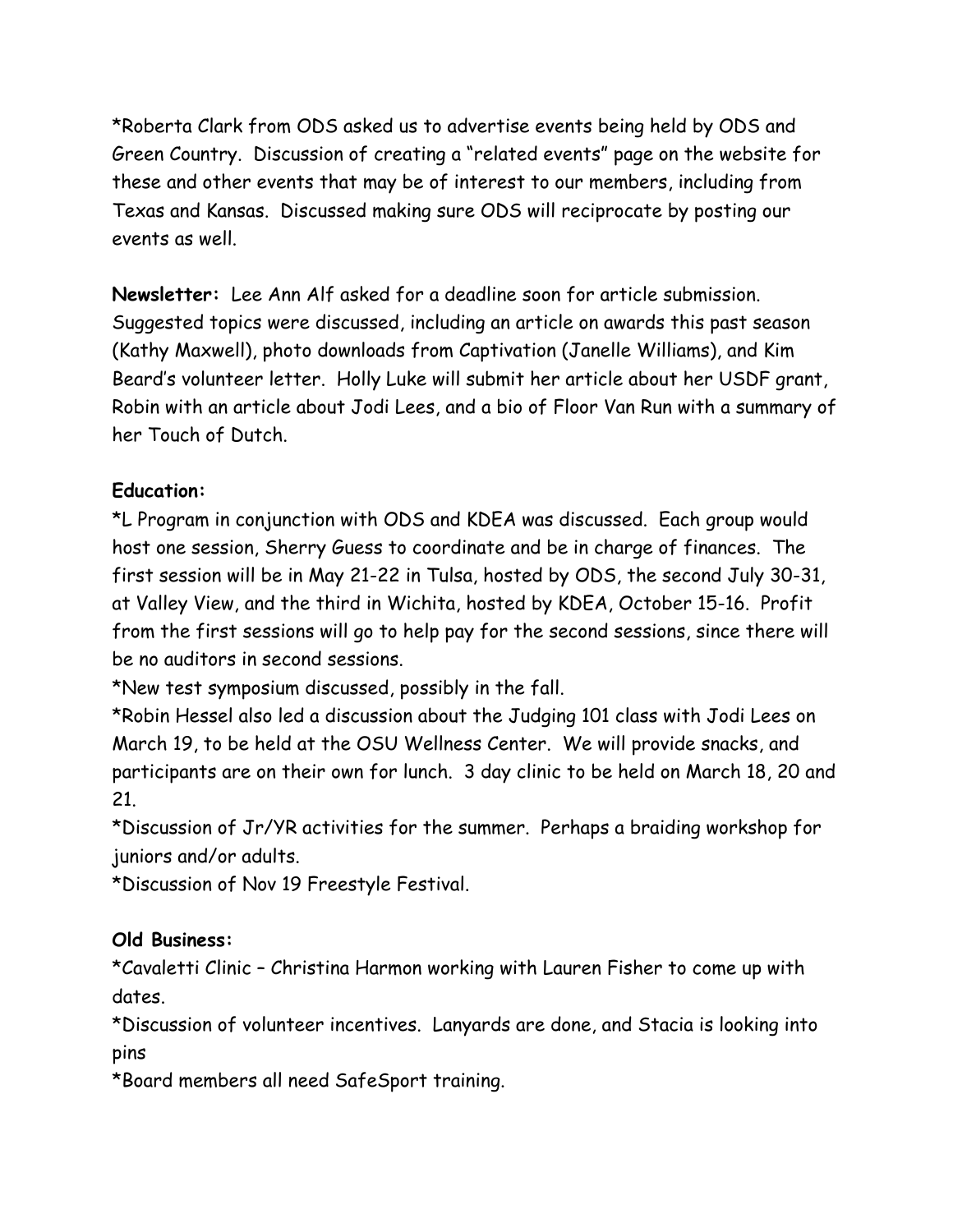\*Roberta Clark from ODS asked us to advertise events being held by ODS and Green Country. Discussion of creating a "related events" page on the website for these and other events that may be of interest to our members, including from Texas and Kansas. Discussed making sure ODS will reciprocate by posting our events as well.

**Newsletter:** Lee Ann Alf asked for a deadline soon for article submission. Suggested topics were discussed, including an article on awards this past season (Kathy Maxwell), photo downloads from Captivation (Janelle Williams), and Kim Beard's volunteer letter. Holly Luke will submit her article about her USDF grant, Robin with an article about Jodi Lees, and a bio of Floor Van Run with a summary of her Touch of Dutch.

## **Education:**

\*L Program in conjunction with ODS and KDEA was discussed. Each group would host one session, Sherry Guess to coordinate and be in charge of finances. The first session will be in May 21-22 in Tulsa, hosted by ODS, the second July 30-31, at Valley View, and the third in Wichita, hosted by KDEA, October 15-16. Profit from the first sessions will go to help pay for the second sessions, since there will be no auditors in second sessions.

\*New test symposium discussed, possibly in the fall.

\*Robin Hessel also led a discussion about the Judging 101 class with Jodi Lees on March 19, to be held at the OSU Wellness Center. We will provide snacks, and participants are on their own for lunch. 3 day clinic to be held on March 18, 20 and 21.

\*Discussion of Jr/YR activities for the summer. Perhaps a braiding workshop for juniors and/or adults.

\*Discussion of Nov 19 Freestyle Festival.

## **Old Business:**

\*Cavaletti Clinic – Christina Harmon working with Lauren Fisher to come up with dates.

\*Discussion of volunteer incentives. Lanyards are done, and Stacia is looking into pins

\*Board members all need SafeSport training.